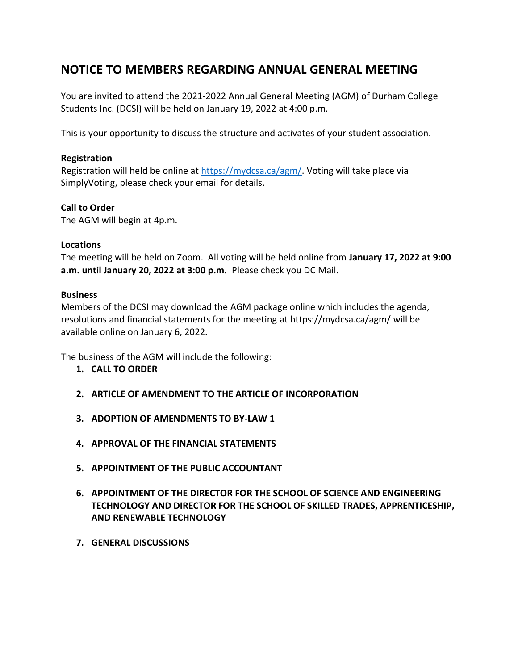# **NOTICE TO MEMBERS REGARDING ANNUAL GENERAL MEETING**

You are invited to attend the 2021-2022 Annual General Meeting (AGM) of Durham College Students Inc. (DCSI) will be held on January 19, 2022 at 4:00 p.m.

This is your opportunity to discuss the structure and activates of your student association.

#### **Registration**

Registration will held be online at [https://mydcsa.ca/agm/.](https://mydcsa.ca/agm/) Voting will take place via SimplyVoting, please check your email for details.

### **Call to Order**

The AGM will begin at 4p.m.

#### **Locations**

The meeting will be held on Zoom. All voting will be held online from **January 17, 2022 at 9:00 a.m. until January 20, 2022 at 3:00 p.m***.* Please check you DC Mail.

#### **Business**

Members of the DCSI may download the AGM package online which includes the agenda, resolutions and financial statements for the meeting at https://mydcsa.ca/agm/ will be available online on January 6, 2022.

The business of the AGM will include the following:

- **1. CALL TO ORDER**
- **2. ARTICLE OF AMENDMENT TO THE ARTICLE OF INCORPORATION**
- **3. ADOPTION OF AMENDMENTS TO BY-LAW 1**
- **4. APPROVAL OF THE FINANCIAL STATEMENTS**
- **5. APPOINTMENT OF THE PUBLIC ACCOUNTANT**
- **6. APPOINTMENT OF THE DIRECTOR FOR THE SCHOOL OF SCIENCE AND ENGINEERING TECHNOLOGY AND DIRECTOR FOR THE SCHOOL OF SKILLED TRADES, APPRENTICESHIP, AND RENEWABLE TECHNOLOGY**
- **7. GENERAL DISCUSSIONS**